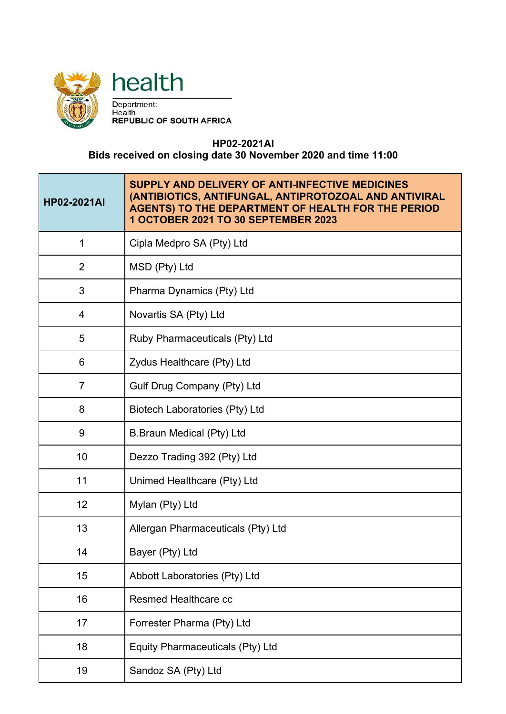



Department:<br>Health<br>REPUBLIC OF SOUTH AFRICA

## **HP02-2021AI**

## **Bids received on closing date 30 November 2020 and time 11:00**

| <b>HP02-2021AI</b> | SUPPLY AND DELIVERY OF ANTI-INFECTIVE MEDICINES<br>(ANTIBIOTICS, ANTIFUNGAL, ANTIPROTOZOAL AND ANTIVIRAL<br><b>AGENTS) TO THE DEPARTMENT OF HEALTH FOR THE PERIOD</b><br>1 OCTOBER 2021 TO 30 SEPTEMBER 2023 |
|--------------------|--------------------------------------------------------------------------------------------------------------------------------------------------------------------------------------------------------------|
| 1                  | Cipla Medpro SA (Pty) Ltd                                                                                                                                                                                    |
| $\overline{2}$     | MSD (Pty) Ltd                                                                                                                                                                                                |
| 3                  | Pharma Dynamics (Pty) Ltd                                                                                                                                                                                    |
| 4                  | Novartis SA (Pty) Ltd                                                                                                                                                                                        |
| 5                  | Ruby Pharmaceuticals (Pty) Ltd                                                                                                                                                                               |
| 6                  | Zydus Healthcare (Pty) Ltd                                                                                                                                                                                   |
| 7                  | Gulf Drug Company (Pty) Ltd                                                                                                                                                                                  |
| 8                  | <b>Biotech Laboratories (Pty) Ltd</b>                                                                                                                                                                        |
| 9                  | <b>B.Braun Medical (Pty) Ltd</b>                                                                                                                                                                             |
| 10                 | Dezzo Trading 392 (Pty) Ltd                                                                                                                                                                                  |
| 11                 | Unimed Healthcare (Pty) Ltd                                                                                                                                                                                  |
| 12                 | Mylan (Pty) Ltd                                                                                                                                                                                              |
| 13                 | Allergan Pharmaceuticals (Pty) Ltd                                                                                                                                                                           |
| 14                 | Bayer (Pty) Ltd                                                                                                                                                                                              |
| 15                 | Abbott Laboratories (Pty) Ltd                                                                                                                                                                                |
| 16                 | <b>Resmed Healthcare cc</b>                                                                                                                                                                                  |
| 17                 | Forrester Pharma (Pty) Ltd                                                                                                                                                                                   |
| 18                 | Equity Pharmaceuticals (Pty) Ltd                                                                                                                                                                             |
| 19                 | Sandoz SA (Pty) Ltd                                                                                                                                                                                          |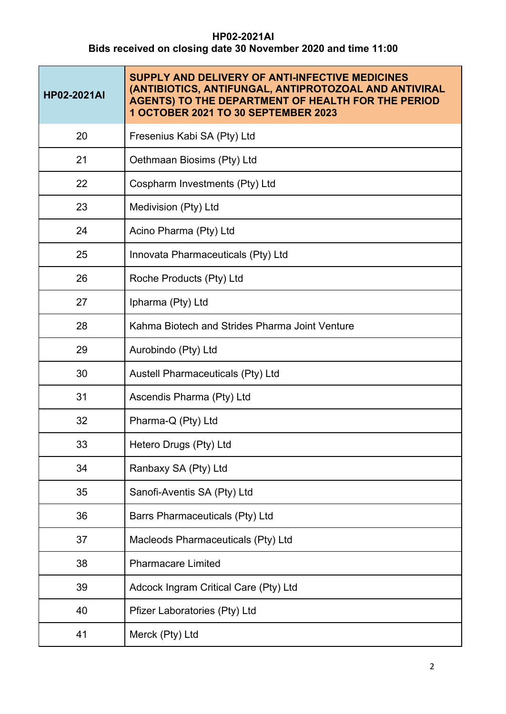## **HP02-2021AI Bids received on closing date 30 November 2020 and time 11:00**

| <b>HP02-2021AI</b> | SUPPLY AND DELIVERY OF ANTI-INFECTIVE MEDICINES<br>(ANTIBIOTICS, ANTIFUNGAL, ANTIPROTOZOAL AND ANTIVIRAL<br><b>AGENTS) TO THE DEPARTMENT OF HEALTH FOR THE PERIOD</b><br>1 OCTOBER 2021 TO 30 SEPTEMBER 2023 |
|--------------------|--------------------------------------------------------------------------------------------------------------------------------------------------------------------------------------------------------------|
| 20                 | Fresenius Kabi SA (Pty) Ltd                                                                                                                                                                                  |
| 21                 | Oethmaan Biosims (Pty) Ltd                                                                                                                                                                                   |
| 22                 | Cospharm Investments (Pty) Ltd                                                                                                                                                                               |
| 23                 | Medivision (Pty) Ltd                                                                                                                                                                                         |
| 24                 | Acino Pharma (Pty) Ltd                                                                                                                                                                                       |
| 25                 | Innovata Pharmaceuticals (Pty) Ltd                                                                                                                                                                           |
| 26                 | Roche Products (Pty) Ltd                                                                                                                                                                                     |
| 27                 | Ipharma (Pty) Ltd                                                                                                                                                                                            |
| 28                 | Kahma Biotech and Strides Pharma Joint Venture                                                                                                                                                               |
| 29                 | Aurobindo (Pty) Ltd                                                                                                                                                                                          |
| 30                 | Austell Pharmaceuticals (Pty) Ltd                                                                                                                                                                            |
| 31                 | Ascendis Pharma (Pty) Ltd                                                                                                                                                                                    |
| 32                 | Pharma-Q (Pty) Ltd                                                                                                                                                                                           |
| 33                 | Hetero Drugs (Pty) Ltd                                                                                                                                                                                       |
| 34                 | Ranbaxy SA (Pty) Ltd                                                                                                                                                                                         |
| 35                 | Sanofi-Aventis SA (Pty) Ltd                                                                                                                                                                                  |
| 36                 | <b>Barrs Pharmaceuticals (Pty) Ltd</b>                                                                                                                                                                       |
| 37                 | Macleods Pharmaceuticals (Pty) Ltd                                                                                                                                                                           |
| 38                 | <b>Pharmacare Limited</b>                                                                                                                                                                                    |
| 39                 | Adcock Ingram Critical Care (Pty) Ltd                                                                                                                                                                        |
| 40                 | Pfizer Laboratories (Pty) Ltd                                                                                                                                                                                |
| 41                 | Merck (Pty) Ltd                                                                                                                                                                                              |